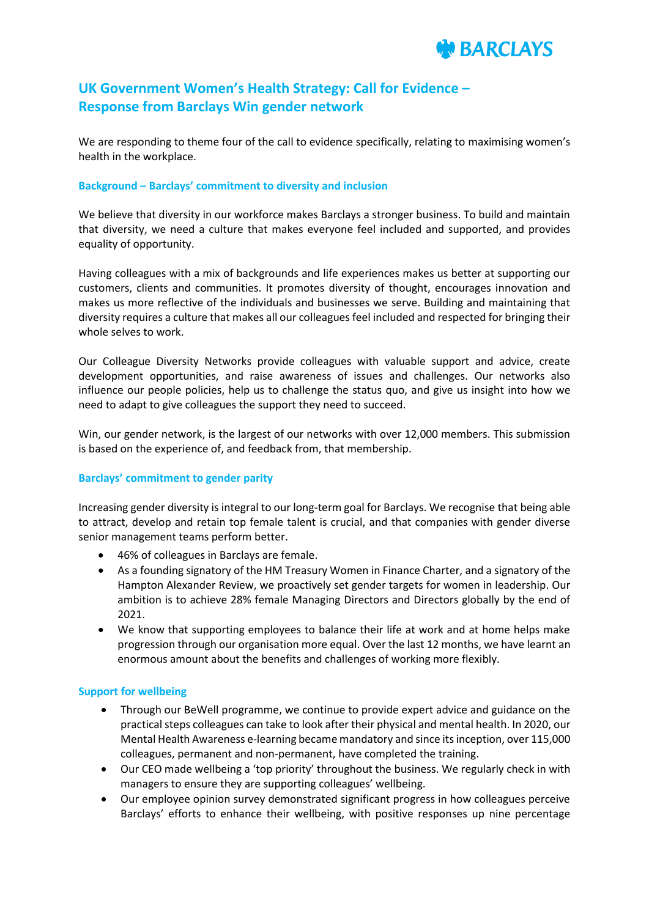

# **UK Government Women's Health Strategy: Call for Evidence – Response from Barclays Win gender network**

We are responding to theme four of the call to evidence specifically, relating to maximising women's health in the workplace.

## **Background – Barclays' commitment to diversity and inclusion**

We believe that diversity in our workforce makes Barclays a stronger business. To build and maintain that diversity, we need a culture that makes everyone feel included and supported, and provides equality of opportunity.

Having colleagues with a mix of backgrounds and life experiences makes us better at supporting our customers, clients and communities. It promotes diversity of thought, encourages innovation and makes us more reflective of the individuals and businesses we serve. Building and maintaining that diversity requires a culture that makes all our colleagues feel included and respected for bringing their whole selves to work.

Our Colleague Diversity Networks provide colleagues with valuable support and advice, create development opportunities, and raise awareness of issues and challenges. Our networks also influence our people policies, help us to challenge the status quo, and give us insight into how we need to adapt to give colleagues the support they need to succeed.

Win, our gender network, is the largest of our networks with over 12,000 members. This submission is based on the experience of, and feedback from, that membership.

# **Barclays' commitment to gender parity**

Increasing gender diversity is integral to our long-term goal for Barclays. We recognise that being able to attract, develop and retain top female talent is crucial, and that companies with gender diverse senior management teams perform better.

- 46% of colleagues in Barclays are female.
- As a founding signatory of the HM Treasury Women in Finance Charter, and a signatory of the Hampton Alexander Review, we proactively set gender targets for women in leadership. Our ambition is to achieve 28% female Managing Directors and Directors globally by the end of 2021.
- We know that supporting employees to balance their life at work and at home helps make progression through our organisation more equal. Over the last 12 months, we have learnt an enormous amount about the benefits and challenges of working more flexibly.

#### **Support for wellbeing**

- Through our BeWell programme, we continue to provide expert advice and guidance on the practical steps colleagues can take to look after their physical and mental health. In 2020, our Mental Health Awareness e-learning became mandatory and since its inception, over 115,000 colleagues, permanent and non-permanent, have completed the training.
- Our CEO made wellbeing a 'top priority' throughout the business. We regularly check in with managers to ensure they are supporting colleagues' wellbeing.
- Our employee opinion survey demonstrated significant progress in how colleagues perceive Barclays' efforts to enhance their wellbeing, with positive responses up nine percentage